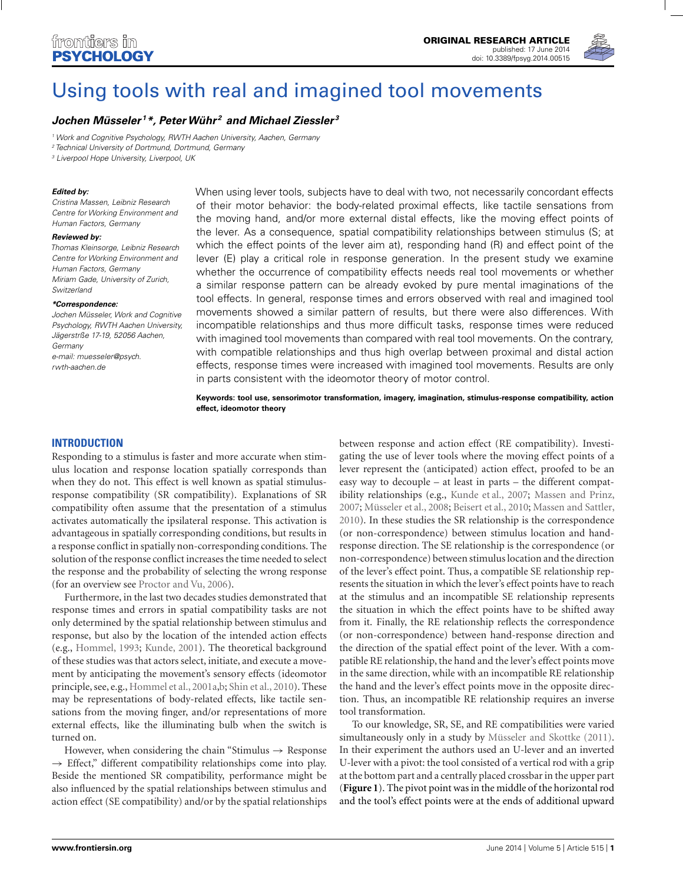

# [Using tools with real and imagined tool movements](http://www.frontiersin.org/journal/10.3389/fpsyg.2014.00515/abstract)

# *[Jochen Müsseler](http://community.frontiersin.org/people/u/17306) 1\*, [PeterWühr](http://community.frontiersin.org/people/u/10531) <sup>2</sup> and [Michael Ziessler](http://community.frontiersin.org/people/u/50569) <sup>3</sup>*

<sup>1</sup> Work and Cognitive Psychology, RWTH Aachen University, Aachen, Germany

<sup>2</sup> Technical University of Dortmund, Dortmund, Germany

<sup>3</sup> Liverpool Hope University, Liverpool, UK

#### *Edited by:*

Cristina Massen, Leibniz Research Centre for Working Environment and Human Factors, Germany

#### *Reviewed by:*

Thomas Kleinsorge, Leibniz Research Centre for Working Environment and Human Factors, Germany Miriam Gade, University of Zurich, Switzerland

#### *\*Correspondence:*

Jochen Müsseler, Work and Cognitive Psychology, RWTH Aachen University, Jägerstrße 17-19, 52056 Aachen, **Germany** e-mail: muesseler@psych. rwth-aachen.de

When using lever tools, subjects have to deal with two, not necessarily concordant effects of their motor behavior: the body-related proximal effects, like tactile sensations from the moving hand, and/or more external distal effects, like the moving effect points of the lever. As a consequence, spatial compatibility relationships between stimulus (S; at which the effect points of the lever aim at), responding hand (R) and effect point of the lever (E) play a critical role in response generation. In the present study we examine whether the occurrence of compatibility effects needs real tool movements or whether a similar response pattern can be already evoked by pure mental imaginations of the tool effects. In general, response times and errors observed with real and imagined tool movements showed a similar pattern of results, but there were also differences. With incompatible relationships and thus more difficult tasks, response times were reduced with imagined tool movements than compared with real tool movements. On the contrary, with compatible relationships and thus high overlap between proximal and distal action effects, response times were increased with imagined tool movements. Results are only in parts consistent with the ideomotor theory of motor control.

**Keywords: tool use, sensorimotor transformation, imagery, imagination, stimulus-response compatibility, action effect, ideomotor theory**

## **INTRODUCTION**

Responding to a stimulus is faster and more accurate when stimulus location and response location spatially corresponds than when they do not. This effect is well known as spatial stimulusresponse compatibility (SR compatibility). Explanations of SR compatibility often assume that the presentation of a stimulus activates automatically the ipsilateral response. This activation is advantageous in spatially corresponding conditions, but results in a response conflict in spatially non-corresponding conditions. The solution of the response conflict increases the time needed to select the response and the probability of selecting the wrong response (for an overview see [Proctor and Vu, 2006](#page-7-0)).

Furthermore, in the last two decades studies demonstrated that response times and errors in spatial compatibility tasks are not only determined by the spatial relationship between stimulus and response, but also by the location of the intended action effects (e.g., [Hommel, 1993;](#page-6-0) [Kunde](#page-6-0), [2001](#page-6-0)). The theoretical background of these studies was that actors select, initiate, and execute a movement by anticipating the movement's sensory effects (ideomotor principle, see, e.g., [Hommel et al., 2001a,b;](#page-6-0) [Shin et al., 2010](#page-7-0)). These may be representations of body-related effects, like tactile sensations from the moving finger, and/or representations of more external effects, like the illuminating bulb when the switch is turned on.

However, when considering the chain "Stimulus  $\rightarrow$  Response  $\rightarrow$  Effect," different compatibility relationships come into play. Beside the mentioned SR compatibility, performance might be also influenced by the spatial relationships between stimulus and action effect (SE compatibility) and/or by the spatial relationships between response and action effect (RE compatibility). Investigating the use of lever tools where the moving effect points of a lever represent the (anticipated) action effect, proofed to be an easy way to decouple – at least in parts – the different compatibility relationships (e.g., [Kunde et al., 2007](#page-6-0); [Massen and Prinz,](#page-6-0) [2007](#page-6-0); [Müsseler et al.](#page-6-0), [2008](#page-6-0); [Beisert et al., 2010;](#page-6-0) [Massen and Sattler,](#page-6-0) [2010](#page-6-0)). In these studies the SR relationship is the correspondence (or non-correspondence) between stimulus location and handresponse direction. The SE relationship is the correspondence (or non-correspondence) between stimulus location and the direction of the lever's effect point. Thus, a compatible SE relationship represents the situation in which the lever's effect points have to reach at the stimulus and an incompatible SE relationship represents the situation in which the effect points have to be shifted away from it. Finally, the RE relationship reflects the correspondence (or non-correspondence) between hand-response direction and the direction of the spatial effect point of the lever. With a compatible RE relationship, the hand and the lever's effect points move in the same direction, while with an incompatible RE relationship the hand and the lever's effect points move in the opposite direction. Thus, an incompatible RE relationship requires an inverse tool transformation.

To our knowledge, SR, SE, and RE compatibilities were varied simultaneously only in a study by [Müsseler and Skottke](#page-6-0) [\(2011](#page-6-0)). In their experiment the authors used an U-lever and an inverted U-lever with a pivot: the tool consisted of a vertical rod with a grip at the bottom part and a centrally placed crossbar in the upper part (**[Figure 1](#page-1-0)**). The pivot point was in the middle of the horizontal rod and the tool's effect points were at the ends of additional upward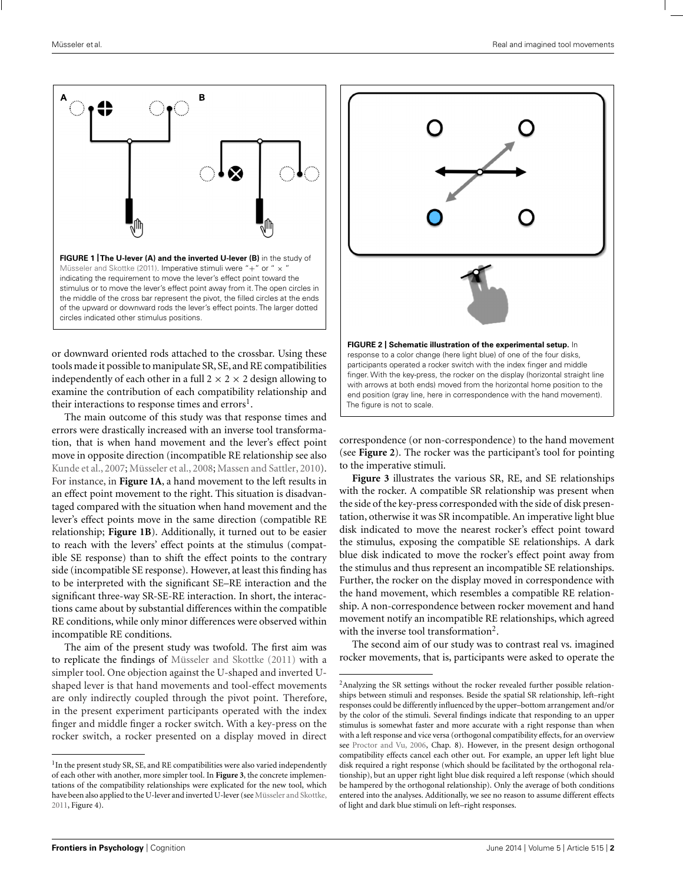<span id="page-1-0"></span>

or downward oriented rods attached to the crossbar. Using these tools made it possible to manipulate SR, SE, and RE compatibilities independently of each other in a full  $2 \times 2 \times 2$  design allowing to examine the contribution of each compatibility relationship and their interactions to response times and  $error<sup>1</sup>$ .

The main outcome of this study was that response times and errors were drastically increased with an inverse tool transformation, that is when hand movement and the lever's effect point move in opposite direction (incompatible RE relationship see also [Kunde et al.](#page-6-0), [2007](#page-6-0); [Müsseler et al.](#page-6-0), [2008](#page-6-0); [Massen and Sattler](#page-6-0), [2010](#page-6-0)). For instance, in **Figure 1A**, a hand movement to the left results in an effect point movement to the right. This situation is disadvantaged compared with the situation when hand movement and the lever's effect points move in the same direction (compatible RE relationship; **Figure 1B**). Additionally, it turned out to be easier to reach with the levers' effect points at the stimulus (compatible SE response) than to shift the effect points to the contrary side (incompatible SE response). However, at least this finding has to be interpreted with the significant SE–RE interaction and the significant three-way SR-SE-RE interaction. In short, the interactions came about by substantial differences within the compatible RE conditions, while only minor differences were observed within incompatible RE conditions.

The aim of the present study was twofold. The first aim was to replicate the findings of [Müsseler and Skottke](#page-6-0) [\(2011\)](#page-6-0) with a simpler tool. One objection against the U-shaped and inverted Ushaped lever is that hand movements and tool-effect movements are only indirectly coupled through the pivot point. Therefore, in the present experiment participants operated with the index finger and middle finger a rocker switch. With a key-press on the rocker switch, a rocker presented on a display moved in direct



correspondence (or non-correspondence) to the hand movement (see **Figure 2**). The rocker was the participant's tool for pointing to the imperative stimuli.

**[Figure 3](#page-2-0)** illustrates the various SR, RE, and SE relationships with the rocker. A compatible SR relationship was present when the side of the key-press corresponded with the side of disk presentation, otherwise it was SR incompatible. An imperative light blue disk indicated to move the nearest rocker's effect point toward the stimulus, exposing the compatible SE relationships. A dark blue disk indicated to move the rocker's effect point away from the stimulus and thus represent an incompatible SE relationships. Further, the rocker on the display moved in correspondence with the hand movement, which resembles a compatible RE relationship. A non-correspondence between rocker movement and hand movement notify an incompatible RE relationships, which agreed with the inverse tool transformation<sup>2</sup>.

The second aim of our study was to contrast real vs. imagined rocker movements, that is, participants were asked to operate the

<sup>&</sup>lt;sup>1</sup>In the present study SR, SE, and RE compatibilities were also varied independently of each other with another, more simpler tool. In **[Figure 3](#page-2-0)**, the concrete implementations of the compatibility relationships were explicated for the new tool, which have been also applied to the U-lever and inverted U-lever (see [Müsseler and Skottke](#page-6-0), [2011,](#page-6-0) Figure 4).

<sup>&</sup>lt;sup>2</sup>Analyzing the SR settings without the rocker revealed further possible relationships between stimuli and responses. Beside the spatial SR relationship, left–right responses could be differently influenced by the upper–bottom arrangement and/or by the color of the stimuli. Several findings indicate that responding to an upper stimulus is somewhat faster and more accurate with a right response than when with a left response and vice versa (orthogonal compatibility effects, for an overview see [Proctor and Vu](#page-7-0), [2006](#page-7-0), Chap. 8). However, in the present design orthogonal compatibility effects cancel each other out. For example, an upper left light blue disk required a right response (which should be facilitated by the orthogonal relationship), but an upper right light blue disk required a left response (which should be hampered by the orthogonal relationship). Only the average of both conditions entered into the analyses. Additionally, we see no reason to assume different effects of light and dark blue stimuli on left–right responses.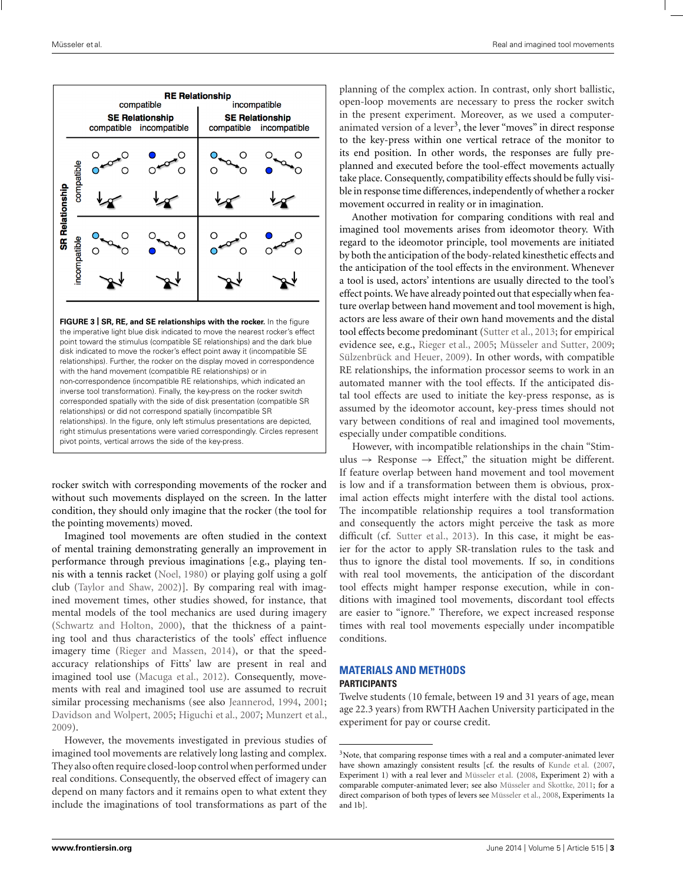<span id="page-2-0"></span>

**FIGURE 3 | SR, RE, and SE relationships with the rocker.** In the figure the imperative light blue disk indicated to move the nearest rocker's effect point toward the stimulus (compatible SE relationships) and the dark blue disk indicated to move the rocker's effect point away it (incompatible SE relationships). Further, the rocker on the display moved in correspondence with the hand movement (compatible RE relationships) or in non-correspondence (incompatible RE relationships, which indicated an inverse tool transformation). Finally, the key-press on the rocker switch corresponded spatially with the side of disk presentation (compatible SR relationships) or did not correspond spatially (incompatible SR relationships). In the figure, only left stimulus presentations are depicted, right stimulus presentations were varied correspondingly. Circles represent pivot points, vertical arrows the side of the key-press.

rocker switch with corresponding movements of the rocker and without such movements displayed on the screen. In the latter condition, they should only imagine that the rocker (the tool for the pointing movements) moved.

Imagined tool movements are often studied in the context of mental training demonstrating generally an improvement in performance through previous imaginations [e.g., playing tennis with a tennis racket [\(Noel, 1980\)](#page-7-0) or playing golf using a golf club [\(Taylor and Shaw, 2002\)](#page-7-0)]. By comparing real with imagined movement times, other studies showed, for instance, that mental models of the tool mechanics are used during imagery [\(Schwartz and Holton](#page-7-0), [2000](#page-7-0)), that the thickness of a painting tool and thus characteristics of the tools' effect influence imagery time [\(Rieger and Massen, 2014\)](#page-7-0), or that the speedaccuracy relationships of Fitts' law are present in real and imagined tool use [\(Macuga et al., 2012\)](#page-6-0). Consequently, movements with real and imagined tool use are assumed to recruit similar processing mechanisms (see also [Jeannerod, 1994](#page-6-0), [2001;](#page-6-0) [Davidson and Wolpert, 2005](#page-6-0); [Higuchi et al., 2007](#page-6-0); [Munzert et al.,](#page-6-0) [2009\)](#page-6-0).

However, the movements investigated in previous studies of imagined tool movements are relatively long lasting and complex. They also often require closed-loop control when performed under real conditions. Consequently, the observed effect of imagery can depend on many factors and it remains open to what extent they include the imaginations of tool transformations as part of the planning of the complex action. In contrast, only short ballistic, open-loop movements are necessary to press the rocker switch in the present experiment. Moreover, as we used a computeranimated version of a lever<sup>3</sup>, the lever "moves" in direct response to the key-press within one vertical retrace of the monitor to its end position. In other words, the responses are fully preplanned and executed before the tool-effect movements actually take place. Consequently, compatibility effects should be fully visible in response time differences, independently of whether a rocker movement occurred in reality or in imagination.

Another motivation for comparing conditions with real and imagined tool movements arises from ideomotor theory. With regard to the ideomotor principle, tool movements are initiated by both the anticipation of the body-related kinesthetic effects and the anticipation of the tool effects in the environment. Whenever a tool is used, actors' intentions are usually directed to the tool's effect points. We have already pointed out that especially when feature overlap between hand movement and tool movement is high, actors are less aware of their own hand movements and the distal tool effects become predominant [\(Sutter et al., 2013;](#page-7-0) for empirical evidence see, e.g., [Rieger et al., 2005;](#page-7-0) [Müsseler and Sutter, 2009;](#page-6-0) [Sülzenbrück and Heuer, 2009\)](#page-7-0). In other words, with compatible RE relationships, the information processor seems to work in an automated manner with the tool effects. If the anticipated distal tool effects are used to initiate the key-press response, as is assumed by the ideomotor account, key-press times should not vary between conditions of real and imagined tool movements, especially under compatible conditions.

However, with incompatible relationships in the chain "Stimulus  $\rightarrow$  Response  $\rightarrow$  Effect," the situation might be different. If feature overlap between hand movement and tool movement is low and if a transformation between them is obvious, proximal action effects might interfere with the distal tool actions. The incompatible relationship requires a tool transformation and consequently the actors might perceive the task as more difficult (cf. [Sutter et al., 2013\)](#page-7-0). In this case, it might be easier for the actor to apply SR-translation rules to the task and thus to ignore the distal tool movements. If so, in conditions with real tool movements, the anticipation of the discordant tool effects might hamper response execution, while in conditions with imagined tool movements, discordant tool effects are easier to "ignore." Therefore, we expect increased response times with real tool movements especially under incompatible conditions.

## **MATERIALS AND METHODS**

## **PARTICIPANTS**

Twelve students (10 female, between 19 and 31 years of age, mean age 22.3 years) from RWTH Aachen University participated in the experiment for pay or course credit.

<sup>&</sup>lt;sup>3</sup>Note, that comparing response times with a real and a computer-animated lever have shown amazingly consistent results [cf. the results of [Kunde et al.](#page-6-0) [\(2007](#page-6-0), Experiment 1) with a real lever and [Müsseler et al.](#page-6-0) [\(2008](#page-6-0), Experiment 2) with a comparable computer-animated lever; see also [Müsseler and Skottke, 2011;](#page-6-0) for a direct comparison of both types of levers see [Müsseler et al., 2008,](#page-6-0) Experiments 1a and 1b].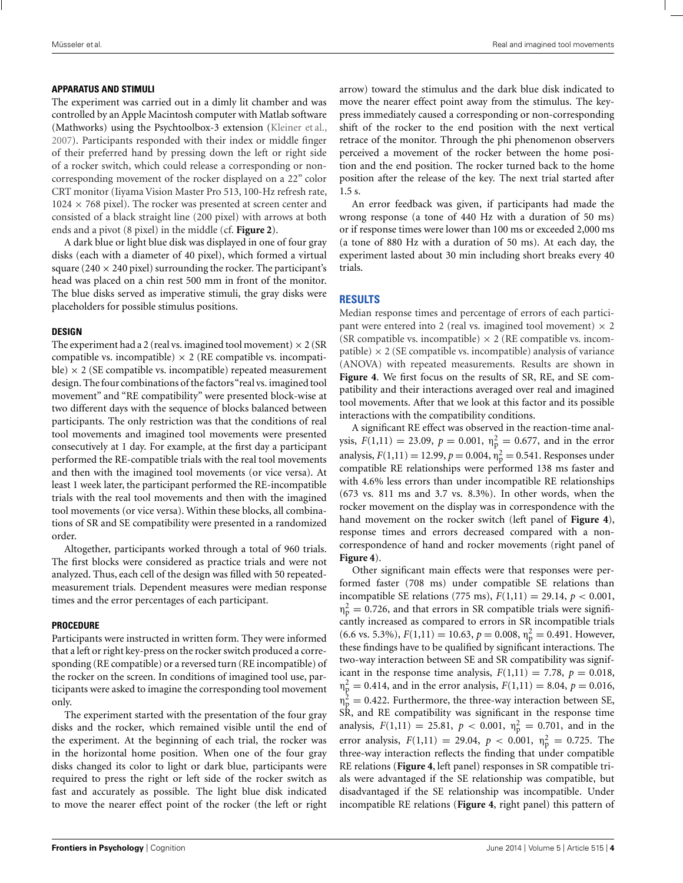#### **APPARATUS AND STIMULI**

The experiment was carried out in a dimly lit chamber and was controlled by an Apple Macintosh computer with Matlab software (Mathworks) using the Psychtoolbox-3 extension [\(Kleiner et al.,](#page-6-0) [2007\)](#page-6-0). Participants responded with their index or middle finger of their preferred hand by pressing down the left or right side of a rocker switch, which could release a corresponding or noncorresponding movement of the rocker displayed on a 22" color CRT monitor (Iiyama Vision Master Pro 513, 100-Hz refresh rate,  $1024 \times 768$  pixel). The rocker was presented at screen center and consisted of a black straight line (200 pixel) with arrows at both ends and a pivot (8 pixel) in the middle (cf. **[Figure 2](#page-1-0)**).

A dark blue or light blue disk was displayed in one of four gray disks (each with a diameter of 40 pixel), which formed a virtual square (240  $\times$  240 pixel) surrounding the rocker. The participant's head was placed on a chin rest 500 mm in front of the monitor. The blue disks served as imperative stimuli, the gray disks were placeholders for possible stimulus positions.

#### **DESIGN**

The experiment had a 2 (real vs. imagined tool movement)  $\times$  2 (SR compatible vs. incompatible)  $\times$  2 (RE compatible vs. incompatible)  $\times$  2 (SE compatible vs. incompatible) repeated measurement design. The four combinations of the factors "real vs. imagined tool movement" and "RE compatibility" were presented block-wise at two different days with the sequence of blocks balanced between participants. The only restriction was that the conditions of real tool movements and imagined tool movements were presented consecutively at 1 day. For example, at the first day a participant performed the RE-compatible trials with the real tool movements and then with the imagined tool movements (or vice versa). At least 1 week later, the participant performed the RE-incompatible trials with the real tool movements and then with the imagined tool movements (or vice versa). Within these blocks, all combinations of SR and SE compatibility were presented in a randomized order.

Altogether, participants worked through a total of 960 trials. The first blocks were considered as practice trials and were not analyzed. Thus, each cell of the design was filled with 50 repeatedmeasurement trials. Dependent measures were median response times and the error percentages of each participant.

#### **PROCEDURE**

Participants were instructed in written form. They were informed that a left or right key-press on the rocker switch produced a corresponding (RE compatible) or a reversed turn (RE incompatible) of the rocker on the screen. In conditions of imagined tool use, participants were asked to imagine the corresponding tool movement only.

The experiment started with the presentation of the four gray disks and the rocker, which remained visible until the end of the experiment. At the beginning of each trial, the rocker was in the horizontal home position. When one of the four gray disks changed its color to light or dark blue, participants were required to press the right or left side of the rocker switch as fast and accurately as possible. The light blue disk indicated to move the nearer effect point of the rocker (the left or right arrow) toward the stimulus and the dark blue disk indicated to move the nearer effect point away from the stimulus. The keypress immediately caused a corresponding or non-corresponding shift of the rocker to the end position with the next vertical retrace of the monitor. Through the phi phenomenon observers perceived a movement of the rocker between the home position and the end position. The rocker turned back to the home position after the release of the key. The next trial started after 1.5 s.

An error feedback was given, if participants had made the wrong response (a tone of 440 Hz with a duration of 50 ms) or if response times were lower than 100 ms or exceeded 2,000 ms (a tone of 880 Hz with a duration of 50 ms). At each day, the experiment lasted about 30 min including short breaks every 40 trials.

## **RESULTS**

Median response times and percentage of errors of each participant were entered into 2 (real vs. imagined tool movement)  $\times$  2 (SR compatible vs. incompatible)  $\times$  2 (RE compatible vs. incompatible)  $\times$  2 (SE compatible vs. incompatible) analysis of variance (ANOVA) with repeated measurements. Results are shown in **[Figure 4](#page-4-0)**. We first focus on the results of SR, RE, and SE compatibility and their interactions averaged over real and imagined tool movements. After that we look at this factor and its possible interactions with the compatibility conditions.

A significant RE effect was observed in the reaction-time analysis,  $F(1,11) = 23.09$ ,  $p = 0.001$ ,  $\eta_p^2 = 0.677$ , and in the error analysis,  $F(1,11) = 12.99$ ,  $p = 0.004$ ,  $\eta_p^2 = 0.541$ . Responses under compatible RE relationships were performed 138 ms faster and with 4.6% less errors than under incompatible RE relationships (673 vs. 811 ms and 3.7 vs. 8.3%). In other words, when the rocker movement on the display was in correspondence with the hand movement on the rocker switch (left panel of **[Figure 4](#page-4-0)**), response times and errors decreased compared with a noncorrespondence of hand and rocker movements (right panel of **[Figure 4](#page-4-0)**).

Other significant main effects were that responses were performed faster (708 ms) under compatible SE relations than incompatible SE relations (775 ms),  $F(1,11) = 29.14$ ,  $p < 0.001$ ,  $\eta_p^2 = 0.726$ , and that errors in SR compatible trials were significantly increased as compared to errors in SR incompatible trials  $(6.6 \text{ vs. } 5.3\%)$ ,  $F(1,11) = 10.63$ ,  $p = 0.008$ ,  $\eta_p^2 = 0.491$ . However, these findings have to be qualified by significant interactions. The two-way interaction between SE and SR compatibility was significant in the response time analysis,  $F(1,11) = 7.78$ ,  $p = 0.018$ ,  $\eta_p^2 = 0.414$ , and in the error analysis,  $F(1,11) = 8.04$ ,  $p = 0.016$ ,  $\eta_{\rm p}^2 = 0.422$ . Furthermore, the three-way interaction between SE, SR, and RE compatibility was significant in the response time analysis,  $F(1,11) = 25.81$ ,  $p < 0.001$ ,  $n_p^2 = 0.701$ , and in the error analysis,  $F(1,11) = 29.04$ ,  $p < 0.001$ ,  $\eta_p^2 = 0.725$ . The three-way interaction reflects the finding that under compatible RE relations (**[Figure 4](#page-4-0)**, left panel) responses in SR compatible trials were advantaged if the SE relationship was compatible, but disadvantaged if the SE relationship was incompatible. Under incompatible RE relations (**[Figure 4](#page-4-0)**, right panel) this pattern of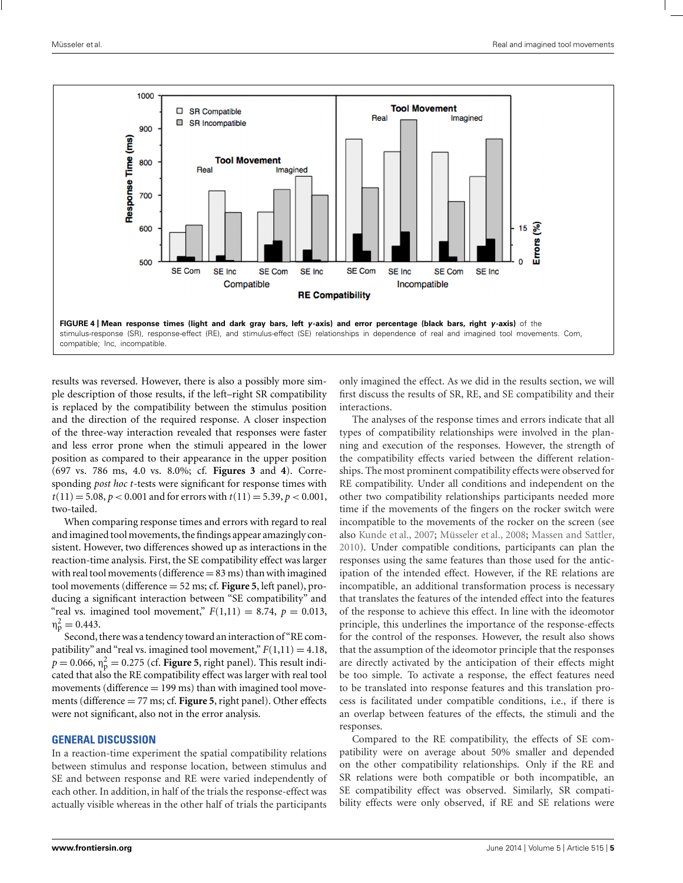<span id="page-4-0"></span>

results was reversed. However, there is also a possibly more simple description of those results, if the left–right SR compatibility is replaced by the compatibility between the stimulus position and the direction of the required response. A closer inspection of the three-way interaction revealed that responses were faster and less error prone when the stimuli appeared in the lower position as compared to their appearance in the upper position (697 vs. 786 ms, 4.0 vs. 8.0%; cf. **[Figures 3](#page-2-0)** and **4**). Corresponding *post hoc t*-tests were significant for response times with  $t(11) = 5.08$ ,  $p < 0.001$  and for errors with  $t(11) = 5.39$ ,  $p < 0.001$ , two-tailed.

When comparing response times and errors with regard to real and imagined tool movements, the findings appear amazingly consistent. However, two differences showed up as interactions in the reaction-time analysis. First, the SE compatibility effect was larger with real tool movements (difference  $= 83$  ms) than with imagined tool movements (difference = 52 ms; cf. **[Figure 5](#page-5-0)**, left panel), producing a significant interaction between "SE compatibility" and "real vs. imagined tool movement,"  $F(1,11) = 8.74$ ,  $p = 0.013$ ,  $\eta_{\rm p}^2 = 0.443.$ 

Second, there was a tendency toward an interaction of "RE compatibility" and "real vs. imagined tool movement,"  $F(1,11) = 4.18$ ,  $p = 0.066$ ,  $\eta_{\rm p}^2 = 0.275$  (cf. **[Figure 5](#page-5-0)**, right panel). This result indicated that also the RE compatibility effect was larger with real tool movements (difference  $= 199$  ms) than with imagined tool movements (difference = 77 ms; cf. **[Figure 5](#page-5-0)**, right panel). Other effects were not significant, also not in the error analysis.

## **GENERAL DISCUSSION**

In a reaction-time experiment the spatial compatibility relations between stimulus and response location, between stimulus and SE and between response and RE were varied independently of each other. In addition, in half of the trials the response-effect was actually visible whereas in the other half of trials the participants

only imagined the effect. As we did in the results section, we will first discuss the results of SR, RE, and SE compatibility and their interactions.

The analyses of the response times and errors indicate that all types of compatibility relationships were involved in the planning and execution of the responses. However, the strength of the compatibility effects varied between the different relationships. The most prominent compatibility effects were observed for RE compatibility. Under all conditions and independent on the other two compatibility relationships participants needed more time if the movements of the fingers on the rocker switch were incompatible to the movements of the rocker on the screen (see also [Kunde et al., 2007;](#page-6-0) [Müsseler et al., 2008;](#page-6-0) [Massen and Sattler,](#page-6-0) [2010](#page-6-0)). Under compatible conditions, participants can plan the responses using the same features than those used for the anticipation of the intended effect. However, if the RE relations are incompatible, an additional transformation process is necessary that translates the features of the intended effect into the features of the response to achieve this effect. In line with the ideomotor principle, this underlines the importance of the response-effects for the control of the responses. However, the result also shows that the assumption of the ideomotor principle that the responses are directly activated by the anticipation of their effects might be too simple. To activate a response, the effect features need to be translated into response features and this translation process is facilitated under compatible conditions, i.e., if there is an overlap between features of the effects, the stimuli and the responses.

Compared to the RE compatibility, the effects of SE compatibility were on average about 50% smaller and depended on the other compatibility relationships. Only if the RE and SR relations were both compatible or both incompatible, an SE compatibility effect was observed. Similarly, SR compatibility effects were only observed, if RE and SE relations were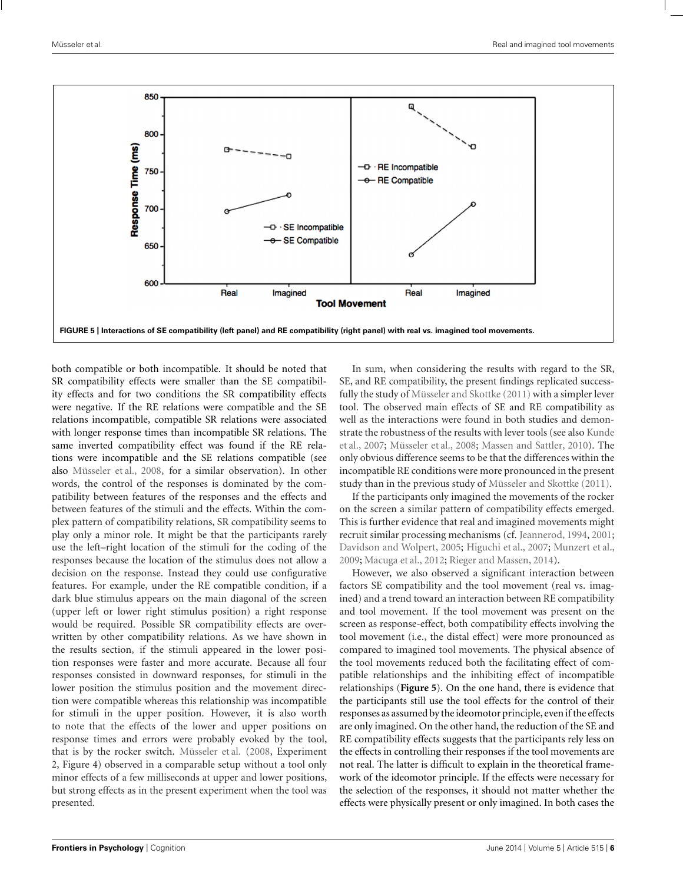<span id="page-5-0"></span>

both compatible or both incompatible. It should be noted that SR compatibility effects were smaller than the SE compatibility effects and for two conditions the SR compatibility effects were negative. If the RE relations were compatible and the SE relations incompatible, compatible SR relations were associated with longer response times than incompatible SR relations. The same inverted compatibility effect was found if the RE relations were incompatible and the SE relations compatible (see also [Müsseler et al., 2008,](#page-6-0) for a similar observation). In other words, the control of the responses is dominated by the compatibility between features of the responses and the effects and between features of the stimuli and the effects. Within the complex pattern of compatibility relations, SR compatibility seems to play only a minor role. It might be that the participants rarely use the left–right location of the stimuli for the coding of the responses because the location of the stimulus does not allow a decision on the response. Instead they could use configurative features. For example, under the RE compatible condition, if a dark blue stimulus appears on the main diagonal of the screen (upper left or lower right stimulus position) a right response would be required. Possible SR compatibility effects are overwritten by other compatibility relations. As we have shown in the results section, if the stimuli appeared in the lower position responses were faster and more accurate. Because all four responses consisted in downward responses, for stimuli in the lower position the stimulus position and the movement direction were compatible whereas this relationship was incompatible for stimuli in the upper position. However, it is also worth to note that the effects of the lower and upper positions on response times and errors were probably evoked by the tool, that is by the rocker switch. [Müsseler et al.](#page-6-0) [\(2008](#page-6-0), Experiment 2, Figure 4) observed in a comparable setup without a tool only minor effects of a few milliseconds at upper and lower positions, but strong effects as in the present experiment when the tool was presented.

In sum, when considering the results with regard to the SR, SE, and RE compatibility, the present findings replicated successfully the study of [Müsseler and Skottke](#page-6-0) [\(2011\)](#page-6-0) with a simpler lever tool. The observed main effects of SE and RE compatibility as well as the interactions were found in both studies and demonstrat[e the robustness of the results with lever tools \(see also](#page-6-0) Kunde et al., [2007;](#page-6-0) [Müsseler et al., 2008;](#page-6-0) [Massen and Sattler](#page-6-0), [2010](#page-6-0)). The only obvious difference seems to be that the differences within the incompatible RE conditions were more pronounced in the present study than in the previous study of [Müsseler and Skottke](#page-6-0) [\(2011\)](#page-6-0).

If the participants only imagined the movements of the rocker on the screen a similar pattern of compatibility effects emerged. This is further evidence that real and imagined movements might recruit similar processing mechanisms (cf. [Jeannerod](#page-6-0), [1994](#page-6-0), [2001;](#page-6-0) [Davidson and Wolpert, 2005](#page-6-0); [Higuchi et al., 2007](#page-6-0); [Munzert et al.,](#page-6-0) [2009](#page-6-0); [Macuga et al.](#page-6-0), [2012;](#page-6-0) [Rieger and Massen](#page-7-0), [2014](#page-7-0)).

However, we also observed a significant interaction between factors SE compatibility and the tool movement (real vs. imagined) and a trend toward an interaction between RE compatibility and tool movement. If the tool movement was present on the screen as response-effect, both compatibility effects involving the tool movement (i.e., the distal effect) were more pronounced as compared to imagined tool movements. The physical absence of the tool movements reduced both the facilitating effect of compatible relationships and the inhibiting effect of incompatible relationships (**Figure 5**). On the one hand, there is evidence that the participants still use the tool effects for the control of their responses as assumed by the ideomotor principle, even if the effects are only imagined. On the other hand, the reduction of the SE and RE compatibility effects suggests that the participants rely less on the effects in controlling their responses if the tool movements are not real. The latter is difficult to explain in the theoretical framework of the ideomotor principle. If the effects were necessary for the selection of the responses, it should not matter whether the effects were physically present or only imagined. In both cases the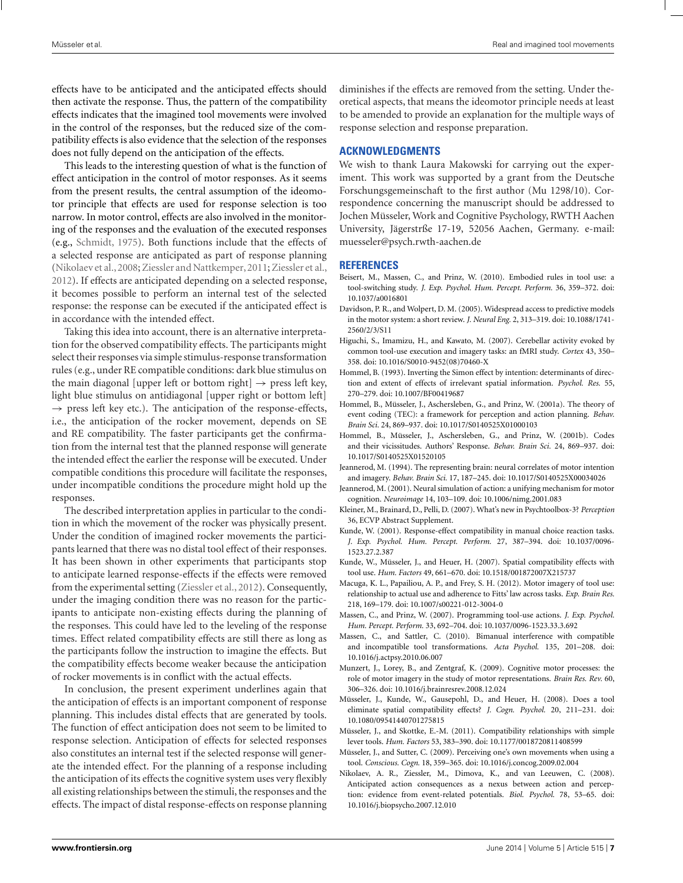<span id="page-6-0"></span>effects have to be anticipated and the anticipated effects should then activate the response. Thus, the pattern of the compatibility effects indicates that the imagined tool movements were involved in the control of the responses, but the reduced size of the compatibility effects is also evidence that the selection of the responses does not fully depend on the anticipation of the effects.

This leads to the interesting question of what is the function of effect anticipation in the control of motor responses. As it seems from the present results, the central assumption of the ideomotor principle that effects are used for response selection is too narrow. In motor control, effects are also involved in the monitoring of the responses and the evaluation of the executed responses (e.g., [Schmidt](#page-7-0), [1975](#page-7-0)). Both functions include that the effects of a selected response are anticipated as part of response planning (Nikolaev et al.,2008; [Ziessler and Nattkemper](#page-7-0),[2011;](#page-7-0) [Ziessler et al.,](#page-7-0) [2012\)](#page-7-0). If effects are anticipated depending on a selected response, it becomes possible to perform an internal test of the selected response: the response can be executed if the anticipated effect is in accordance with the intended effect.

Taking this idea into account, there is an alternative interpretation for the observed compatibility effects. The participants might select their responses via simple stimulus-response transformation rules (e.g., under RE compatible conditions: dark blue stimulus on the main diagonal [upper left or bottom right]  $\rightarrow$  press left key, light blue stimulus on antidiagonal [upper right or bottom left]  $\rightarrow$  press left key etc.). The anticipation of the response-effects, i.e., the anticipation of the rocker movement, depends on SE and RE compatibility. The faster participants get the confirmation from the internal test that the planned response will generate the intended effect the earlier the response will be executed. Under compatible conditions this procedure will facilitate the responses, under incompatible conditions the procedure might hold up the responses.

The described interpretation applies in particular to the condition in which the movement of the rocker was physically present. Under the condition of imagined rocker movements the participants learned that there was no distal tool effect of their responses. It has been shown in other experiments that participants stop to anticipate learned response-effects if the effects were removed from the experimental setting [\(Ziessler et al.](#page-7-0), [2012\)](#page-7-0). Consequently, under the imaging condition there was no reason for the participants to anticipate non-existing effects during the planning of the responses. This could have led to the leveling of the response times. Effect related compatibility effects are still there as long as the participants follow the instruction to imagine the effects. But the compatibility effects become weaker because the anticipation of rocker movements is in conflict with the actual effects.

In conclusion, the present experiment underlines again that the anticipation of effects is an important component of response planning. This includes distal effects that are generated by tools. The function of effect anticipation does not seem to be limited to response selection. Anticipation of effects for selected responses also constitutes an internal test if the selected response will generate the intended effect. For the planning of a response including the anticipation of its effects the cognitive system uses very flexibly all existing relationships between the stimuli, the responses and the effects. The impact of distal response-effects on response planning diminishes if the effects are removed from the setting. Under theoretical aspects, that means the ideomotor principle needs at least to be amended to provide an explanation for the multiple ways of response selection and response preparation.

#### **ACKNOWLEDGMENTS**

We wish to thank Laura Makowski for carrying out the experiment. This work was supported by a grant from the Deutsche Forschungsgemeinschaft to the first author (Mu 1298/10). Correspondence concerning the manuscript should be addressed to Jochen Müsseler, Work and Cognitive Psychology, RWTH Aachen University, Jägerstrße 17-19, 52056 Aachen, Germany. e-mail: muesseler@psych.rwth-aachen.de

#### **REFERENCES**

- Beisert, M., Massen, C., and Prinz, W. (2010). Embodied rules in tool use: a tool-switching study. *J. Exp. Psychol. Hum. Percept. Perform.* 36, 359–372. doi: 10.1037/a0016801
- Davidson, P. R., and Wolpert, D. M. (2005). Widespread access to predictive models in the motor system: a short review. *J. Neural Eng.* 2, 313–319. doi: 10.1088/1741- 2560/2/3/S11
- Higuchi, S., Imamizu, H., and Kawato, M. (2007). Cerebellar activity evoked by common tool-use execution and imagery tasks: an fMRI study. *Cortex* 43, 350– 358. doi: 10.1016/S0010-9452(08)70460-X
- Hommel, B. (1993). Inverting the Simon effect by intention: determinants of direction and extent of effects of irrelevant spatial information. *Psychol. Res.* 55, 270–279. doi: 10.1007/BF00419687
- Hommel, B., Müsseler, J., Aschersleben, G., and Prinz, W. (2001a). The theory of event coding (TEC): a framework for perception and action planning. *Behav. Brain Sci.* 24, 869–937. doi: 10.1017/S0140525X01000103
- Hommel, B., Müsseler, J., Aschersleben, G., and Prinz, W. (2001b). Codes and their vicissitudes. Authors' Response. *Behav. Brain Sci.* 24, 869–937. doi: 10.1017/S0140525X01520105
- Jeannerod, M. (1994). The representing brain: neural correlates of motor intention and imagery. *Behav. Brain Sci.* 17, 187–245. doi: 10.1017/S0140525X00034026
- Jeannerod, M. (2001). Neural simulation of action: a unifying mechanism for motor cognition. *Neuroimage* 14, 103–109. doi: 10.1006/nimg.2001.083
- Kleiner, M., Brainard, D., Pelli, D. (2007). What's new in Psychtoolbox-3? *Perception* 36, ECVP Abstract Supplement.
- Kunde, W. (2001). Response-effect compatibility in manual choice reaction tasks. *J. Exp. Psychol. Hum. Percept. Perform.* 27, 387–394. doi: 10.1037/0096- 1523.27.2.387
- Kunde, W., Müsseler, J., and Heuer, H. (2007). Spatial compatibility effects with tool use. *Hum. Factors* 49, 661–670. doi: 10.1518/001872007X215737
- Macuga, K. L., Papailiou, A. P., and Frey, S. H. (2012). Motor imagery of tool use: relationship to actual use and adherence to Fitts' law across tasks. *Exp. Brain Res.* 218, 169–179. doi: 10.1007/s00221-012-3004-0
- Massen, C., and Prinz, W. (2007). Programming tool-use actions. *J. Exp. Psychol. Hum. Percept. Perform.* 33, 692–704. doi: 10.1037/0096-1523.33.3.692
- Massen, C., and Sattler, C. (2010). Bimanual interference with compatible and incompatible tool transformations. *Acta Psychol.* 135, 201–208. doi: 10.1016/j.actpsy.2010.06.007
- Munzert, J., Lorey, B., and Zentgraf, K. (2009). Cognitive motor processes: the role of motor imagery in the study of motor representations. *Brain Res. Rev.* 60, 306–326. doi: 10.1016/j.brainresrev.2008.12.024
- Müsseler, J., Kunde, W., Gausepohl, D., and Heuer, H. (2008). Does a tool eliminate spatial compatibility effects? *J. Cogn. Psychol.* 20, 211–231. doi: 10.1080/09541440701275815
- Müsseler, J., and Skottke, E.-M. (2011). Compatibility relationships with simple lever tools. *Hum. Factors* 53, 383–390. doi: 10.1177/0018720811408599
- Müsseler, J., and Sutter, C. (2009). Perceiving one's own movements when using a tool. *Conscious. Cogn.* 18, 359–365. doi: 10.1016/j.concog.2009.02.004
- Nikolaev, A. R., Ziessler, M., Dimova, K., and van Leeuwen, C. (2008). Anticipated action consequences as a nexus between action and perception: evidence from event-related potentials. *Biol. Psychol.* 78, 53–65. doi: 10.1016/j.biopsycho.2007.12.010